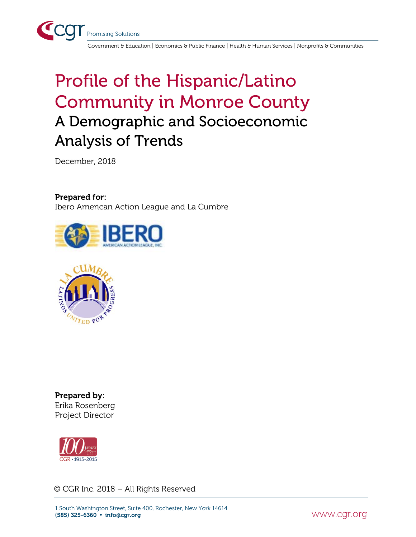

Government & Education | Economics & Public Finance | Health & Human Services | Nonprofits & Communities

## Profile of the Hispanic/Latino Community in Monroe County A Demographic and Socioeconomic Analysis of Trends

December, 2018

#### Prepared for:

Ibero American Action League and La Cumbre





Prepared by: Erika Rosenberg Project Director



© CGR Inc. 2018 – All Rights Reserved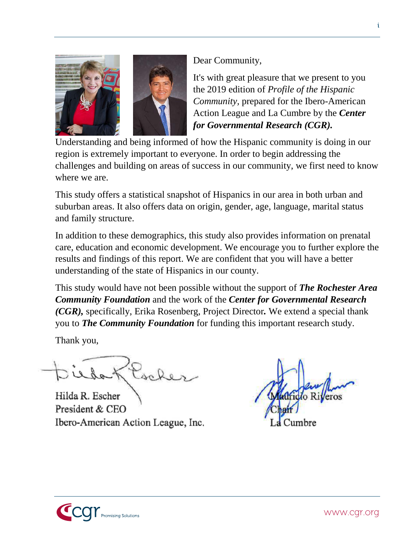

Dear Community,

It's with great pleasure that we present to you the 2019 edition of *Profile of the Hispanic Community,* prepared for the Ibero-American Action League and La Cumbre by the *Center for Governmental Research (CGR).*

Understanding and being informed of how the Hispanic community is doing in our region is extremely important to everyone. In order to begin addressing the challenges and building on areas of success in our community, we first need to know where we are.

This study offers a statistical snapshot of Hispanics in our area in both urban and suburban areas. It also offers data on origin, gender, age, language, marital status and family structure.

In addition to these demographics, this study also provides information on prenatal care, education and economic development. We encourage you to further explore the results and findings of this report. We are confident that you will have a better understanding of the state of Hispanics in our county.

This study would have not been possible without the support of *The Rochester Area Community Foundation* and the work of the *Center for Governmental Research (CGR),* specifically, Erika Rosenberg, Project Director*.* We extend a special thank you to *The Community Foundation* for funding this important research study.

Thank you,

Klocker

Hilda R. Escher President & CEO Ibero-American Action League, Inc.

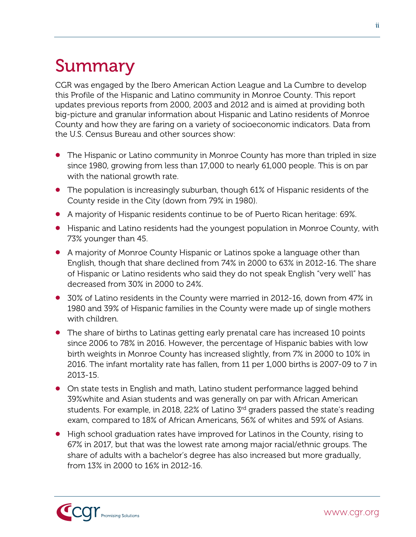## <span id="page-2-0"></span>Summary

CGR was engaged by the Ibero American Action League and La Cumbre to develop this Profile of the Hispanic and Latino community in Monroe County. This report updates previous reports from 2000, 2003 and 2012 and is aimed at providing both big-picture and granular information about Hispanic and Latino residents of Monroe County and how they are faring on a variety of socioeconomic indicators. Data from the U.S. Census Bureau and other sources show:

- The Hispanic or Latino community in Monroe County has more than tripled in size since 1980, growing from less than 17,000 to nearly 61,000 people. This is on par with the national growth rate.
- The population is increasingly suburban, though 61% of Hispanic residents of the County reside in the City (down from 79% in 1980).
- A majority of Hispanic residents continue to be of Puerto Rican heritage: 69%.
- Hispanic and Latino residents had the youngest population in Monroe County, with 73% younger than 45.
- A majority of Monroe County Hispanic or Latinos spoke a language other than English, though that share declined from 74% in 2000 to 63% in 2012-16. The share of Hispanic or Latino residents who said they do not speak English "very well" has decreased from 30% in 2000 to 24%.
- 30% of Latino residents in the County were married in 2012-16, down from 47% in 1980 and 39% of Hispanic families in the County were made up of single mothers with children.
- The share of births to Latinas getting early prenatal care has increased 10 points since 2006 to 78% in 2016. However, the percentage of Hispanic babies with low birth weights in Monroe County has increased slightly, from 7% in 2000 to 10% in 2016. The infant mortality rate has fallen, from 11 per 1,000 births is 2007-09 to 7 in 2013-15.
- On state tests in English and math, Latino student performance lagged behind 39%white and Asian students and was generally on par with African American students. For example, in 2018, 22% of Latino 3<sup>rd</sup> graders passed the state's reading exam, compared to 18% of African Americans, 56% of whites and 59% of Asians.
- High school graduation rates have improved for Latinos in the County, rising to 67% in 2017, but that was the lowest rate among major racial/ethnic groups. The share of adults with a bachelor's degree has also increased but more gradually, from 13% in 2000 to 16% in 2012-16.

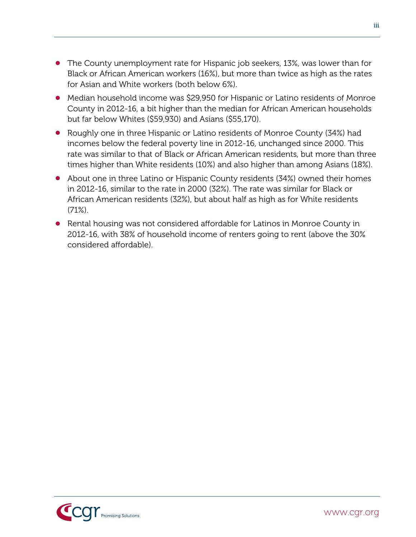- The County unemployment rate for Hispanic job seekers, 13%, was lower than for Black or African American workers (16%), but more than twice as high as the rates for Asian and White workers (both below 6%).
- Median household income was \$29,950 for Hispanic or Latino residents of Monroe County in 2012-16, a bit higher than the median for African American households but far below Whites (\$59,930) and Asians (\$55,170).
- Roughly one in three Hispanic or Latino residents of Monroe County (34%) had incomes below the federal poverty line in 2012-16, unchanged since 2000. This rate was similar to that of Black or African American residents, but more than three times higher than White residents (10%) and also higher than among Asians (18%).
- About one in three Latino or Hispanic County residents (34%) owned their homes in 2012-16, similar to the rate in 2000 (32%). The rate was similar for Black or African American residents (32%), but about half as high as for White residents  $(71\%)$ .
- Rental housing was not considered affordable for Latinos in Monroe County in 2012-16, with 38% of household income of renters going to rent (above the 30% considered affordable).



iii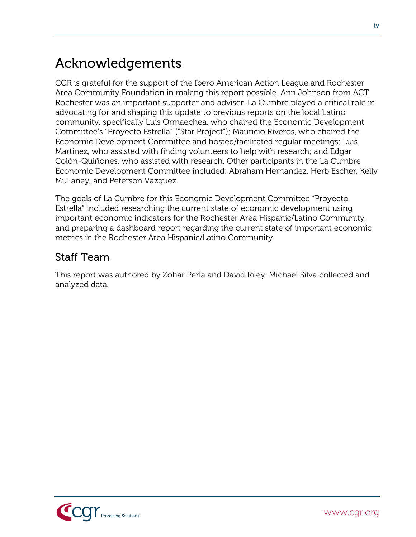#### Acknowledgements

CGR is grateful for the support of the Ibero American Action League and Rochester Area Community Foundation in making this report possible. Ann Johnson from ACT Rochester was an important supporter and adviser. La Cumbre played a critical role in advocating for and shaping this update to previous reports on the local Latino community, specifically Luis Ormaechea, who chaired the Economic Development Committee's "Proyecto Estrella" ("Star Project"); Mauricio Riveros, who chaired the Economic Development Committee and hosted/facilitated regular meetings; Luis Martinez, who assisted with finding volunteers to help with research; and Edgar Colón-Quiñones, who assisted with research. Other participants in the La Cumbre Economic Development Committee included: Abraham Hernandez, Herb Escher, Kelly Mullaney, and Peterson Vazquez.

The goals of La Cumbre for this Economic Development Committee "Proyecto Estrella" included researching the current state of economic development using important economic indicators for the Rochester Area Hispanic/Latino Community, and preparing a dashboard report regarding the current state of important economic metrics in the Rochester Area Hispanic/Latino Community.

#### Staff Team

This report was authored by Zohar Perla and David Riley. Michael Silva collected and analyzed data.

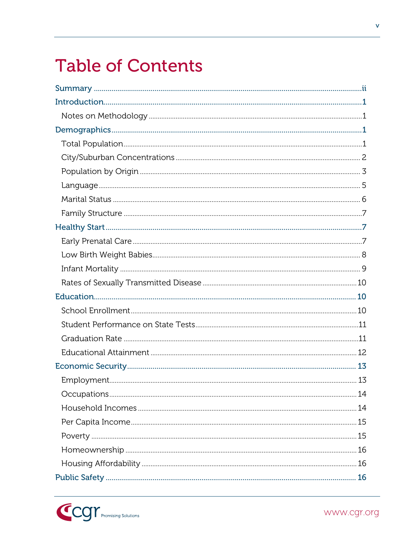## **Table of Contents**

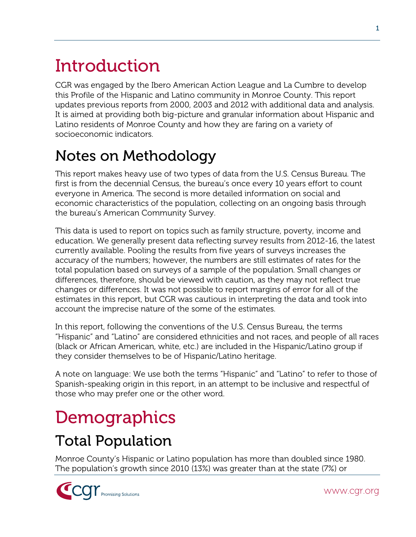# <span id="page-6-0"></span>Introduction

CGR was engaged by the Ibero American Action League and La Cumbre to develop this Profile of the Hispanic and Latino community in Monroe County. This report updates previous reports from 2000, 2003 and 2012 with additional data and analysis. It is aimed at providing both big-picture and granular information about Hispanic and Latino residents of Monroe County and how they are faring on a variety of socioeconomic indicators.

### <span id="page-6-1"></span>Notes on Methodology

This report makes heavy use of two types of data from the U.S. Census Bureau. The first is from the decennial Census, the bureau's once every 10 years effort to count everyone in America. The second is more detailed information on social and economic characteristics of the population, collecting on an ongoing basis through the bureau's American Community Survey.

This data is used to report on topics such as family structure, poverty, income and education. We generally present data reflecting survey results from 2012-16, the latest currently available. Pooling the results from five years of surveys increases the accuracy of the numbers; however, the numbers are still estimates of rates for the total population based on surveys of a sample of the population. Small changes or differences, therefore, should be viewed with caution, as they may not reflect true changes or differences. It was not possible to report margins of error for all of the estimates in this report, but CGR was cautious in interpreting the data and took into account the imprecise nature of the some of the estimates.

In this report, following the conventions of the U.S. Census Bureau, the terms "Hispanic" and "Latino" are considered ethnicities and not races, and people of all races (black or African American, white, etc.) are included in the Hispanic/Latino group if they consider themselves to be of Hispanic/Latino heritage.

A note on language: We use both the terms "Hispanic" and "Latino" to refer to those of Spanish-speaking origin in this report, in an attempt to be inclusive and respectful of those who may prefer one or the other word.

## <span id="page-6-2"></span>**Demographics**

### <span id="page-6-3"></span>Total Population

Monroe County's Hispanic or Latino population has more than doubled since 1980. The population's growth since 2010 (13%) was greater than at the state (7%) or

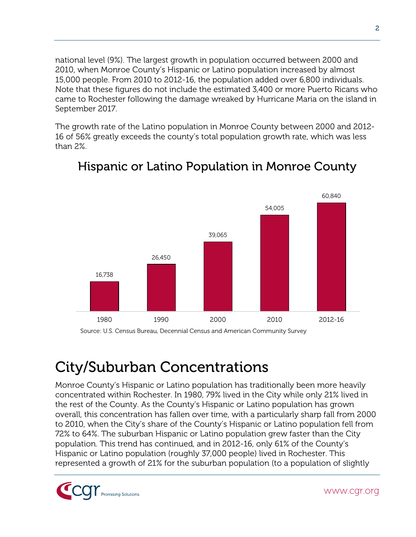national level (9%). The largest growth in population occurred between 2000 and 2010, when Monroe County's Hispanic or Latino population increased by almost 15,000 people. From 2010 to 2012-16, the population added over 6,800 individuals. Note that these figures do not include the estimated 3,400 or more Puerto Ricans who came to Rochester following the damage wreaked by Hurricane Maria on the island in September 2017.

The growth rate of the Latino population in Monroe County between 2000 and 2012- 16 of 56% greatly exceeds the county's total population growth rate, which was less than 2%.



#### Hispanic or Latino Population in Monroe County

Source: U.S. Census Bureau, Decennial Census and American Community Survey

#### <span id="page-7-0"></span>City/Suburban Concentrations

Monroe County's Hispanic or Latino population has traditionally been more heavily concentrated within Rochester. In 1980, 79% lived in the City while only 21% lived in the rest of the County. As the County's Hispanic or Latino population has grown overall, this concentration has fallen over time, with a particularly sharp fall from 2000 to 2010, when the City's share of the County's Hispanic or Latino population fell from 72% to 64%. The suburban Hispanic or Latino population grew faster than the City population. This trend has continued, and in 2012-16, only 61% of the County's Hispanic or Latino population (roughly 37,000 people) lived in Rochester. This represented a growth of 21% for the suburban population (to a population of slightly

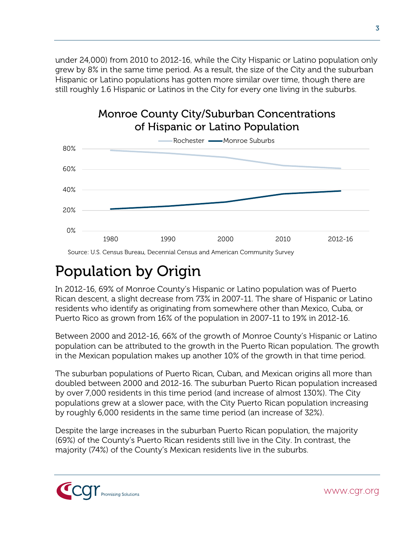under 24,000) from 2010 to 2012-16, while the City Hispanic or Latino population only grew by 8% in the same time period. As a result, the size of the City and the suburban Hispanic or Latino populations has gotten more similar over time, though there are still roughly 1.6 Hispanic or Latinos in the City for every one living in the suburbs.





Source: U.S. Census Bureau, Decennial Census and American Community Survey

#### <span id="page-8-0"></span>Population by Origin

In 2012-16, 69% of Monroe County's Hispanic or Latino population was of Puerto Rican descent, a slight decrease from 73% in 2007-11. The share of Hispanic or Latino residents who identify as originating from somewhere other than Mexico, Cuba, or Puerto Rico as grown from 16% of the population in 2007-11 to 19% in 2012-16.

Between 2000 and 2012-16, 66% of the growth of Monroe County's Hispanic or Latino population can be attributed to the growth in the Puerto Rican population. The growth in the Mexican population makes up another 10% of the growth in that time period.

The suburban populations of Puerto Rican, Cuban, and Mexican origins all more than doubled between 2000 and 2012-16. The suburban Puerto Rican population increased by over 7,000 residents in this time period (and increase of almost 130%). The City populations grew at a slower pace, with the City Puerto Rican population increasing by roughly 6,000 residents in the same time period (an increase of 32%).

Despite the large increases in the suburban Puerto Rican population, the majority (69%) of the County's Puerto Rican residents still live in the City. In contrast, the majority (74%) of the County's Mexican residents live in the suburbs.

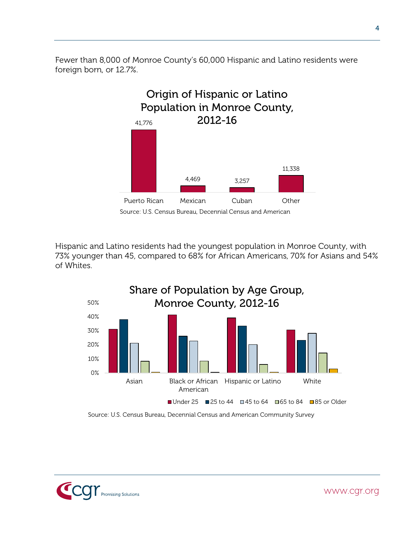Fewer than 8,000 of Monroe County's 60,000 Hispanic and Latino residents were foreign born, or 12.7%.



Source: U.S. Census Bureau, Decennial Census and American

Hispanic and Latino residents had the youngest population in Monroe County, with 73% younger than 45, compared to 68% for African Americans, 70% for Asians and 54% of Whites.



Source: U.S. Census Bureau, Decennial Census and American Community Survey

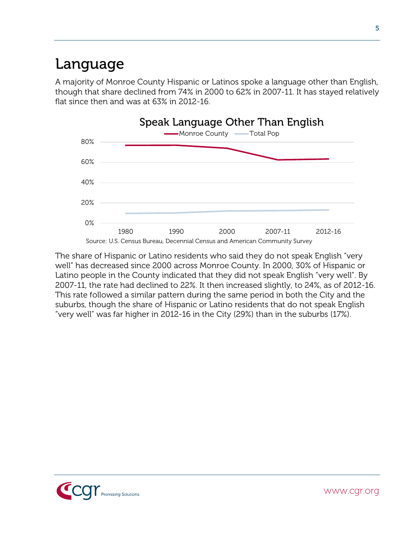#### <span id="page-10-0"></span>Language

A majority of Monroe County Hispanic or Latinos spoke a language other than English, though that share declined from 74% in 2000 to 62% in 2007-11. It has stayed relatively flat since then and was at 63% in 2012-16.



The share of Hispanic or Latino residents who said they do not speak English "very well" has decreased since 2000 across Monroe County. In 2000, 30% of Hispanic or Latino people in the County indicated that they did not speak English "very well". By 2007-11, the rate had declined to 22%. It then increased slightly, to 24%, as of 2012-16. This rate followed a similar pattern during the same period in both the City and the suburbs, though the share of Hispanic or Latino residents that do not speak English "very well" was far higher in 2012-16 in the City (29%) than in the suburbs (17%).

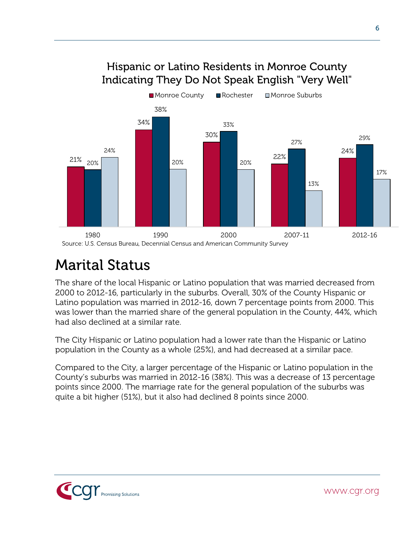#### Hispanic or Latino Residents in Monroe County Indicating They Do Not Speak English "Very Well"



#### <span id="page-11-0"></span>Marital Status

The share of the local Hispanic or Latino population that was married decreased from 2000 to 2012-16, particularly in the suburbs. Overall, 30% of the County Hispanic or Latino population was married in 2012-16, down 7 percentage points from 2000. This was lower than the married share of the general population in the County, 44%, which had also declined at a similar rate.

The City Hispanic or Latino population had a lower rate than the Hispanic or Latino population in the County as a whole (25%), and had decreased at a similar pace.

Compared to the City, a larger percentage of the Hispanic or Latino population in the County's suburbs was married in 2012-16 (38%). This was a decrease of 13 percentage points since 2000. The marriage rate for the general population of the suburbs was quite a bit higher (51%), but it also had declined 8 points since 2000.

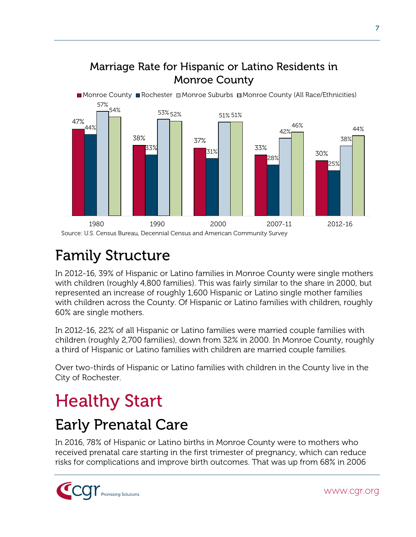#### Marriage Rate for Hispanic or Latino Residents in Monroe County



### <span id="page-12-0"></span>Family Structure

In 2012-16, 39% of Hispanic or Latino families in Monroe County were single mothers with children (roughly 4,800 families). This was fairly similar to the share in 2000, but represented an increase of roughly 1,600 Hispanic or Latino single mother families with children across the County. Of Hispanic or Latino families with children, roughly 60% are single mothers.

In 2012-16, 22% of all Hispanic or Latino families were married couple families with children (roughly 2,700 families), down from 32% in 2000. In Monroe County, roughly a third of Hispanic or Latino families with children are married couple families.

Over two-thirds of Hispanic or Latino families with children in the County live in the City of Rochester.

## <span id="page-12-1"></span>Healthy Start

### <span id="page-12-2"></span>Early Prenatal Care

In 2016, 78% of Hispanic or Latino births in Monroe County were to mothers who received prenatal care starting in the first trimester of pregnancy, which can reduce risks for complications and improve birth outcomes. That was up from 68% in 2006

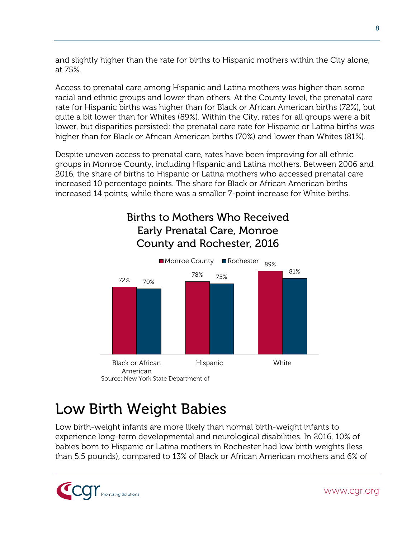and slightly higher than the rate for births to Hispanic mothers within the City alone, at 75%.

Access to prenatal care among Hispanic and Latina mothers was higher than some racial and ethnic groups and lower than others. At the County level, the prenatal care rate for Hispanic births was higher than for Black or African American births (72%), but quite a bit lower than for Whites (89%). Within the City, rates for all groups were a bit lower, but disparities persisted: the prenatal care rate for Hispanic or Latina births was higher than for Black or African American births (70%) and lower than Whites (81%).

Despite uneven access to prenatal care, rates have been improving for all ethnic groups in Monroe County, including Hispanic and Latina mothers. Between 2006 and 2016, the share of births to Hispanic or Latina mothers who accessed prenatal care increased 10 percentage points. The share for Black or African American births increased 14 points, while there was a smaller 7-point increase for White births.

#### Births to Mothers Who Received Early Prenatal Care, Monroe County and Rochester, 2016



### <span id="page-13-0"></span>Low Birth Weight Babies

Low birth-weight infants are more likely than normal birth-weight infants to experience long-term developmental and neurological disabilities. In 2016, 10% of babies born to Hispanic or Latina mothers in Rochester had low birth weights (less than 5.5 pounds), compared to 13% of Black or African American mothers and 6% of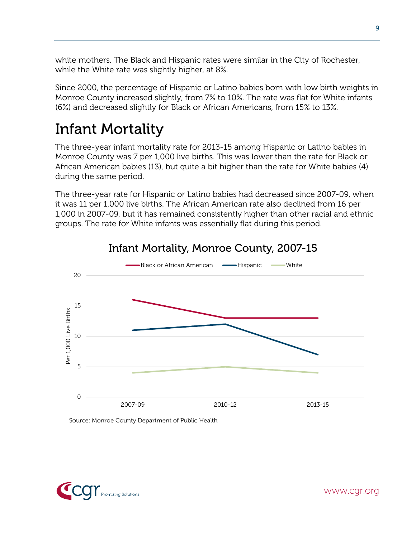white mothers. The Black and Hispanic rates were similar in the City of Rochester, while the White rate was slightly higher, at 8%.

Since 2000, the percentage of Hispanic or Latino babies born with low birth weights in Monroe County increased slightly, from 7% to 10%. The rate was flat for White infants (6%) and decreased slightly for Black or African Americans, from 15% to 13%.

#### <span id="page-14-0"></span>Infant Mortality

The three-year infant mortality rate for 2013-15 among Hispanic or Latino babies in Monroe County was 7 per 1,000 live births. This was lower than the rate for Black or African American babies (13), but quite a bit higher than the rate for White babies (4) during the same period.

The three-year rate for Hispanic or Latino babies had decreased since 2007-09, when it was 11 per 1,000 live births. The African American rate also declined from 16 per 1,000 in 2007-09, but it has remained consistently higher than other racial and ethnic groups. The rate for White infants was essentially flat during this period.



#### Infant Mortality, Monroe County, 2007-15

Source: Monroe County Department of Public Health

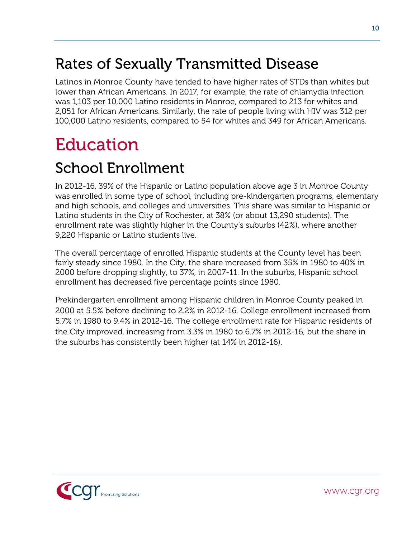#### <span id="page-15-0"></span>Rates of Sexually Transmitted Disease

Latinos in Monroe County have tended to have higher rates of STDs than whites but lower than African Americans. In 2017, for example, the rate of chlamydia infection was 1,103 per 10,000 Latino residents in Monroe, compared to 213 for whites and 2,051 for African Americans. Similarly, the rate of people living with HIV was 312 per 100,000 Latino residents, compared to 54 for whites and 349 for African Americans.

## <span id="page-15-1"></span>Education

#### <span id="page-15-2"></span>School Enrollment

In 2012-16, 39% of the Hispanic or Latino population above age 3 in Monroe County was enrolled in some type of school, including pre-kindergarten programs, elementary and high schools, and colleges and universities. This share was similar to Hispanic or Latino students in the City of Rochester, at 38% (or about 13,290 students). The enrollment rate was slightly higher in the County's suburbs (42%), where another 9,220 Hispanic or Latino students live.

The overall percentage of enrolled Hispanic students at the County level has been fairly steady since 1980. In the City, the share increased from 35% in 1980 to 40% in 2000 before dropping slightly, to 37%, in 2007-11. In the suburbs, Hispanic school enrollment has decreased five percentage points since 1980.

Prekindergarten enrollment among Hispanic children in Monroe County peaked in 2000 at 5.5% before declining to 2.2% in 2012-16. College enrollment increased from 5.7% in 1980 to 9.4% in 2012-16. The college enrollment rate for Hispanic residents of the City improved, increasing from 3.3% in 1980 to 6.7% in 2012-16, but the share in the suburbs has consistently been higher (at 14% in 2012-16).

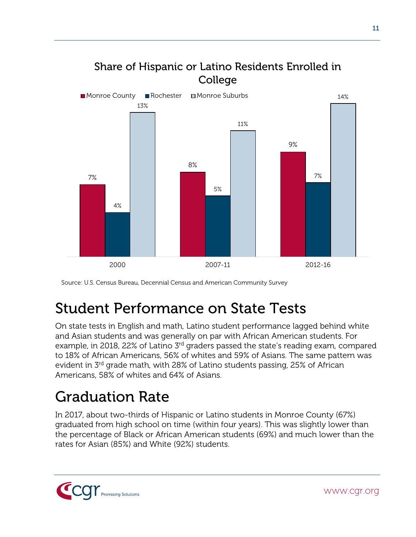

Source: U.S. Census Bureau, Decennial Census and American Community Survey

#### <span id="page-16-0"></span>Student Performance on State Tests

On state tests in English and math, Latino student performance lagged behind white and Asian students and was generally on par with African American students. For example, in 2018, 22% of Latino 3<sup>rd</sup> graders passed the state's reading exam, compared to 18% of African Americans, 56% of whites and 59% of Asians. The same pattern was evident in 3rd grade math, with 28% of Latino students passing, 25% of African Americans, 58% of whites and 64% of Asians.

#### <span id="page-16-1"></span>Graduation Rate

In 2017, about two-thirds of Hispanic or Latino students in Monroe County (67%) graduated from high school on time (within four years). This was slightly lower than the percentage of Black or African American students (69%) and much lower than the rates for Asian (85%) and White (92%) students.

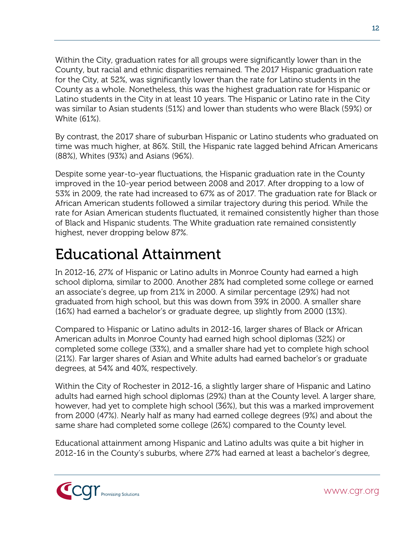Within the City, graduation rates for all groups were significantly lower than in the County, but racial and ethnic disparities remained. The 2017 Hispanic graduation rate for the City, at 52%, was significantly lower than the rate for Latino students in the County as a whole. Nonetheless, this was the highest graduation rate for Hispanic or Latino students in the City in at least 10 years. The Hispanic or Latino rate in the City was similar to Asian students (51%) and lower than students who were Black (59%) or White (61%).

By contrast, the 2017 share of suburban Hispanic or Latino students who graduated on time was much higher, at 86%. Still, the Hispanic rate lagged behind African Americans (88%), Whites (93%) and Asians (96%).

Despite some year-to-year fluctuations, the Hispanic graduation rate in the County improved in the 10-year period between 2008 and 2017. After dropping to a low of 53% in 2009, the rate had increased to 67% as of 2017. The graduation rate for Black or African American students followed a similar trajectory during this period. While the rate for Asian American students fluctuated, it remained consistently higher than those of Black and Hispanic students. The White graduation rate remained consistently highest, never dropping below 87%.

#### <span id="page-17-0"></span>Educational Attainment

In 2012-16, 27% of Hispanic or Latino adults in Monroe County had earned a high school diploma, similar to 2000. Another 28% had completed some college or earned an associate's degree, up from 21% in 2000. A similar percentage (29%) had not graduated from high school, but this was down from 39% in 2000. A smaller share (16%) had earned a bachelor's or graduate degree, up slightly from 2000 (13%).

Compared to Hispanic or Latino adults in 2012-16, larger shares of Black or African American adults in Monroe County had earned high school diplomas (32%) or completed some college (33%), and a smaller share had yet to complete high school (21%). Far larger shares of Asian and White adults had earned bachelor's or graduate degrees, at 54% and 40%, respectively.

Within the City of Rochester in 2012-16, a slightly larger share of Hispanic and Latino adults had earned high school diplomas (29%) than at the County level. A larger share, however, had yet to complete high school (36%), but this was a marked improvement from 2000 (47%). Nearly half as many had earned college degrees (9%) and about the same share had completed some college (26%) compared to the County level.

Educational attainment among Hispanic and Latino adults was quite a bit higher in 2012-16 in the County's suburbs, where 27% had earned at least a bachelor's degree,

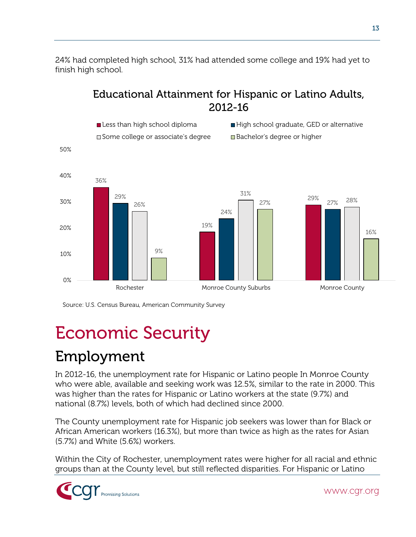24% had completed high school, 31% had attended some college and 19% had yet to finish high school.

Educational Attainment for Hispanic or Latino Adults,



Source: U.S. Census Bureau, American Community Survey

## <span id="page-18-0"></span>Economic Security

### <span id="page-18-1"></span>Employment

In 2012-16, the unemployment rate for Hispanic or Latino people In Monroe County who were able, available and seeking work was 12.5%, similar to the rate in 2000. This was higher than the rates for Hispanic or Latino workers at the state (9.7%) and national (8.7%) levels, both of which had declined since 2000.

The County unemployment rate for Hispanic job seekers was lower than for Black or African American workers (16.3%), but more than twice as high as the rates for Asian (5.7%) and White (5.6%) workers.

Within the City of Rochester, unemployment rates were higher for all racial and ethnic groups than at the County level, but still reflected disparities. For Hispanic or Latino

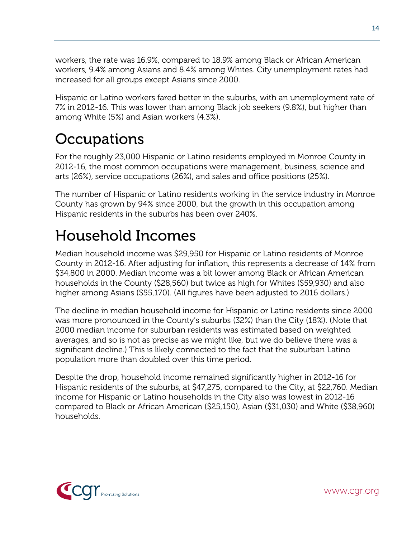workers, the rate was 16.9%, compared to 18.9% among Black or African American workers, 9.4% among Asians and 8.4% among Whites. City unemployment rates had increased for all groups except Asians since 2000.

Hispanic or Latino workers fared better in the suburbs, with an unemployment rate of 7% in 2012-16. This was lower than among Black job seekers (9.8%), but higher than among White (5%) and Asian workers (4.3%).

#### <span id="page-19-0"></span>**Occupations**

For the roughly 23,000 Hispanic or Latino residents employed in Monroe County in 2012-16, the most common occupations were management, business, science and arts (26%), service occupations (26%), and sales and office positions (25%).

The number of Hispanic or Latino residents working in the service industry in Monroe County has grown by 94% since 2000, but the growth in this occupation among Hispanic residents in the suburbs has been over 240%.

### <span id="page-19-1"></span>Household Incomes

Median household income was \$29,950 for Hispanic or Latino residents of Monroe County in 2012-16. After adjusting for inflation, this represents a decrease of 14% from \$34,800 in 2000. Median income was a bit lower among Black or African American households in the County (\$28,560) but twice as high for Whites (\$59,930) and also higher among Asians (\$55,170). (All figures have been adjusted to 2016 dollars.)

The decline in median household income for Hispanic or Latino residents since 2000 was more pronounced in the County's suburbs (32%) than the City (18%). (Note that 2000 median income for suburban residents was estimated based on weighted averages, and so is not as precise as we might like, but we do believe there was a significant decline.) This is likely connected to the fact that the suburban Latino population more than doubled over this time period.

Despite the drop, household income remained significantly higher in 2012-16 for Hispanic residents of the suburbs, at \$47,275, compared to the City, at \$22,760. Median income for Hispanic or Latino households in the City also was lowest in 2012-16 compared to Black or African American (\$25,150), Asian (\$31,030) and White (\$38,960) households.

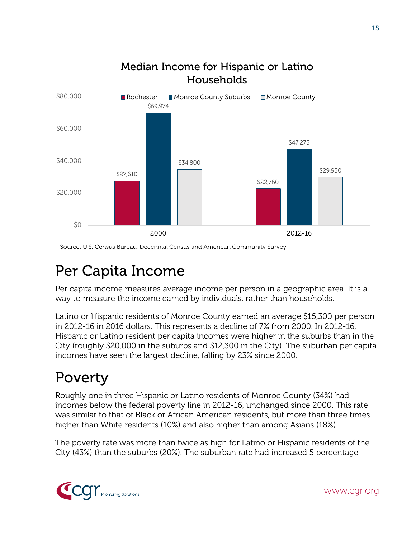

Source: U.S. Census Bureau, Decennial Census and American Community Survey

#### <span id="page-20-0"></span>Per Capita Income

Per capita income measures average income per person in a geographic area. It is a way to measure the income earned by individuals, rather than households.

Latino or Hispanic residents of Monroe County earned an average \$15,300 per person in 2012-16 in 2016 dollars. This represents a decline of 7% from 2000. In 2012-16, Hispanic or Latino resident per capita incomes were higher in the suburbs than in the City (roughly \$20,000 in the suburbs and \$12,300 in the City). The suburban per capita incomes have seen the largest decline, falling by 23% since 2000.

## <span id="page-20-1"></span>Poverty

Roughly one in three Hispanic or Latino residents of Monroe County (34%) had incomes below the federal poverty line in 2012-16, unchanged since 2000. This rate was similar to that of Black or African American residents, but more than three times higher than White residents (10%) and also higher than among Asians (18%).

The poverty rate was more than twice as high for Latino or Hispanic residents of the City (43%) than the suburbs (20%). The suburban rate had increased 5 percentage